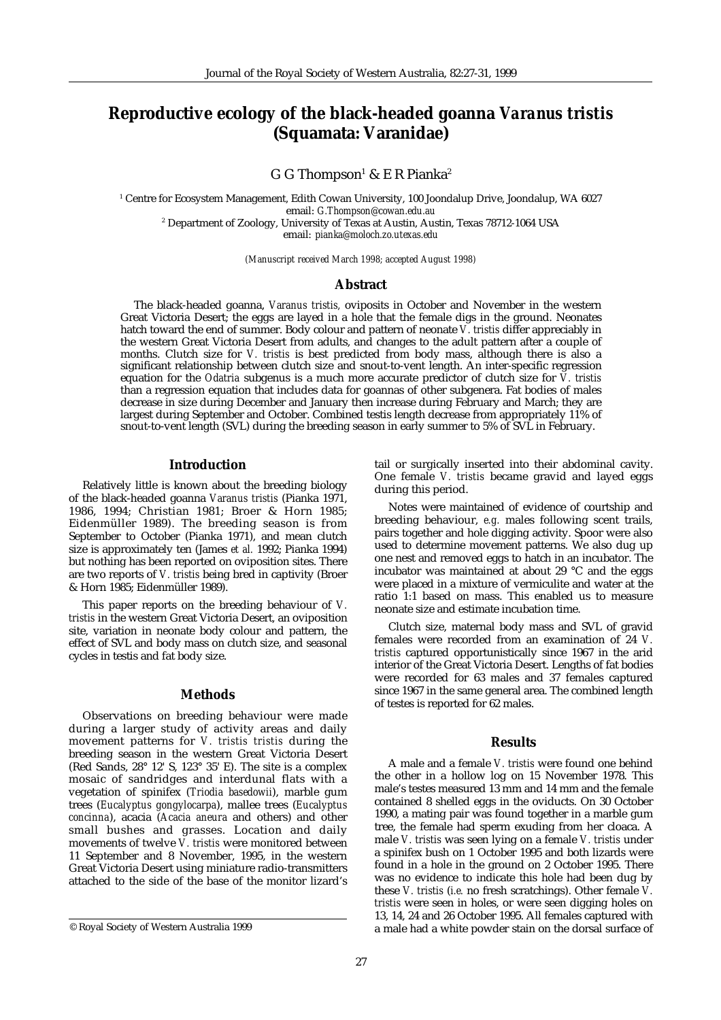# **Reproductive ecology of the black-headed goanna** *Varanus tristis* **(Squamata: Varanidae)**

G G Thompson $^{\rm 1}$  & E R Pianka $^{\rm 2}$ 

1 Centre for Ecosystem Management, Edith Cowan University, 100 Joondalup Drive, Joondalup, WA 6027 email: *G.Thompson@cowan.edu.au* 2 Department of Zoology, University of Texas at Austin, Austin, Texas 78712-1064 USA email: *pianka@moloch.zo.utexas.edu*

*(Manuscript received March 1998; accepted August 1998)*

#### **Abstract**

The black-headed goanna, *Varanus tristis,* oviposits in October and November in the western Great Victoria Desert; the eggs are layed in a hole that the female digs in the ground. Neonates hatch toward the end of summer. Body colour and pattern of neonate *V. tristis* differ appreciably in the western Great Victoria Desert from adults, and changes to the adult pattern after a couple of months. Clutch size for *V. tristis* is best predicted from body mass, although there is also a significant relationship between clutch size and snout-to-vent length. An inter-specific regression equation for the *Odatria* subgenus is a much more accurate predictor of clutch size for *V. tristis* than a regression equation that includes data for goannas of other subgenera. Fat bodies of males decrease in size during December and January then increase during February and March; they are largest during September and October. Combined testis length decrease from appropriately 11% of snout-to-vent length (SVL) during the breeding season in early summer to 5% of SVL in February.

#### **Introduction**

Relatively little is known about the breeding biology of the black-headed goanna *Varanus tristis* (Pianka 1971, 1986, 1994; Christian 1981; Broer & Horn 1985; Eidenmüller 1989). The breeding season is from September to October (Pianka 1971), and mean clutch size is approximately ten (James *et al.* 1992; Pianka 1994) but nothing has been reported on oviposition sites. There are two reports of *V. tristis* being bred in captivity (Broer & Horn 1985; Eidenmüller 1989).

This paper reports on the breeding behaviour of *V. tristis* in the western Great Victoria Desert, an oviposition site, variation in neonate body colour and pattern, the effect of SVL and body mass on clutch size, and seasonal cycles in testis and fat body size.

## **Methods**

Observations on breeding behaviour were made during a larger study of activity areas and daily movement patterns for *V. tristis tristis* during the breeding season in the western Great Victoria Desert (Red Sands, 28° 12' S, 123° 35' E). The site is a complex mosaic of sandridges and interdunal flats with a vegetation of spinifex (*Triodia basedowii*), marble gum trees (*Eucalyptus gongylocarpa*), mallee trees (*Eucalyptus concinna*), acacia (*Acacia aneura* and others) and other small bushes and grasses. Location and daily movements of twelve *V. tristis* were monitored between 11 September and 8 November, 1995, in the western Great Victoria Desert using miniature radio-transmitters attached to the side of the base of the monitor lizard's tail or surgically inserted into their abdominal cavity. One female *V. tristis* became gravid and layed eggs during this period.

Notes were maintained of evidence of courtship and breeding behaviour, *e.g.* males following scent trails, pairs together and hole digging activity. Spoor were also used to determine movement patterns. We also dug up one nest and removed eggs to hatch in an incubator. The incubator was maintained at about 29 °C and the eggs were placed in a mixture of vermiculite and water at the ratio 1:1 based on mass. This enabled us to measure neonate size and estimate incubation time.

Clutch size, maternal body mass and SVL of gravid females were recorded from an examination of 24 *V. tristis* captured opportunistically since 1967 in the arid interior of the Great Victoria Desert. Lengths of fat bodies were recorded for 63 males and 37 females captured since 1967 in the same general area. The combined length of testes is reported for 62 males.

## **Results**

A male and a female *V. tristis* were found one behind the other in a hollow log on 15 November 1978. This male's testes measured 13 mm and 14 mm and the female contained 8 shelled eggs in the oviducts. On 30 October 1990, a mating pair was found together in a marble gum tree, the female had sperm exuding from her cloaca. A male *V. tristis* was seen lying on a female *V. tristis* under a spinifex bush on 1 October 1995 and both lizards were found in a hole in the ground on 2 October 1995. There was no evidence to indicate this hole had been dug by these *V. tristis* (*i.e.* no fresh scratchings). Other female *V. tristis* were seen in holes, or were seen digging holes on 13, 14, 24 and 26 October 1995. All females captured with © Royal Society of Western Australia 1999 a male had a white powder stain on the dorsal surface of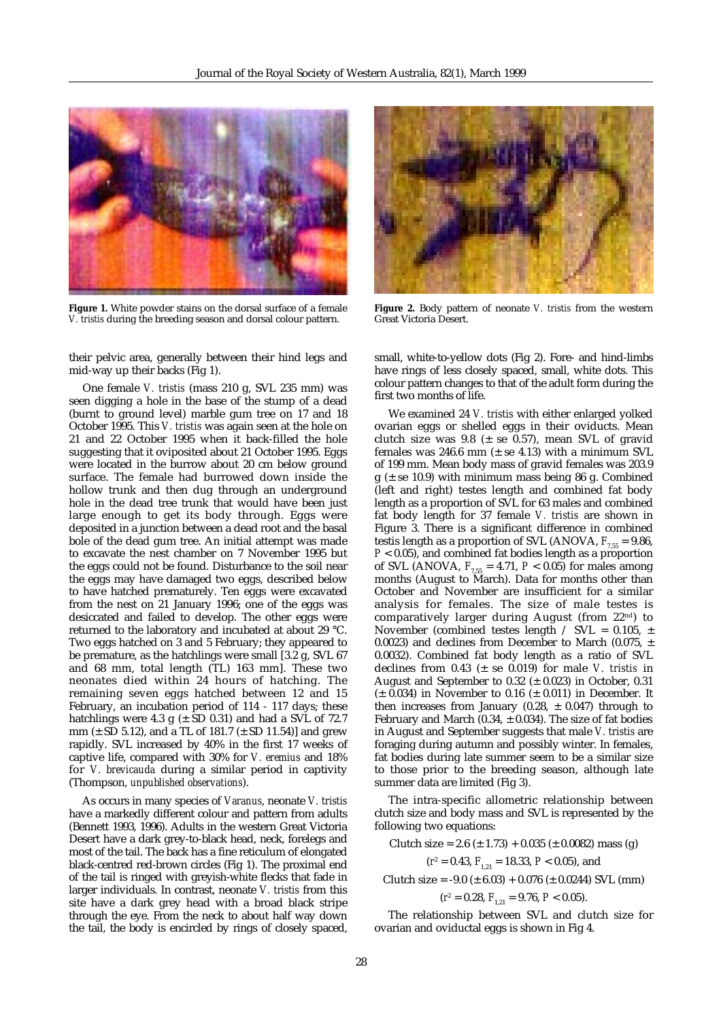

**Figure 1.** White powder stains on the dorsal surface of a female *V. tristis* during the breeding season and dorsal colour pattern.

their pelvic area, generally between their hind legs and mid-way up their backs (Fig 1).

One female *V. tristis* (mass 210 g, SVL 235 mm) was seen digging a hole in the base of the stump of a dead (burnt to ground level) marble gum tree on 17 and 18 October 1995. This *V. tristis* was again seen at the hole on 21 and 22 October 1995 when it back-filled the hole suggesting that it oviposited about 21 October 1995. Eggs were located in the burrow about 20 cm below ground surface. The female had burrowed down inside the hollow trunk and then dug through an underground hole in the dead tree trunk that would have been just large enough to get its body through. Eggs were deposited in a junction between a dead root and the basal bole of the dead gum tree. An initial attempt was made to excavate the nest chamber on 7 November 1995 but the eggs could not be found. Disturbance to the soil near the eggs may have damaged two eggs, described below to have hatched prematurely. Ten eggs were excavated from the nest on 21 January 1996; one of the eggs was desiccated and failed to develop. The other eggs were returned to the laboratory and incubated at about 29 °C. Two eggs hatched on 3 and 5 February; they appeared to be premature, as the hatchlings were small [3.2 g, SVL 67 and 68 mm, total length (TL) 163 mm]. These two neonates died within 24 hours of hatching. The remaining seven eggs hatched between 12 and 15 February, an incubation period of 114 - 117 days; these hatchlings were 4.3 g  $(\pm$  SD 0.31) and had a SVL of 72.7 mm ( $\pm$  SD 5.12), and a TL of 181.7 ( $\pm$  SD 11.54)] and grew rapidly. SVL increased by 40% in the first 17 weeks of captive life, compared with 30% for *V. eremius* and 18% for *V. brevicauda* during a similar period in captivity (Thompson, *unpublished observations*).

As occurs in many species of *Varanus*, neonate *V. tristis* have a markedly different colour and pattern from adults (Bennett 1993, 1996). Adults in the western Great Victoria Desert have a dark grey-to-black head, neck, forelegs and most of the tail. The back has a fine reticulum of elongated black-centred red-brown circles (Fig 1). The proximal end of the tail is ringed with greyish-white flecks that fade in larger individuals. In contrast, neonate *V. tristis* from this site have a dark grey head with a broad black stripe through the eye. From the neck to about half way down the tail, the body is encircled by rings of closely spaced,



**Figure 2.** Body pattern of neonate *V. tristis* from the western Great Victoria Desert.

small, white-to-yellow dots (Fig 2). Fore- and hind-limbs have rings of less closely spaced, small, white dots. This colour pattern changes to that of the adult form during the first two months of life.

We examined 24 *V. tristis* with either enlarged yolked ovarian eggs or shelled eggs in their oviducts. Mean clutch size was  $9.8$  ( $\pm$  se 0.57), mean SVL of gravid females was 246.6 mm  $(\pm$  se 4.13) with a minimum SVL of 199 mm. Mean body mass of gravid females was 203.9  $g$  ( $\pm$  se 10.9) with minimum mass being 86 g. Combined (left and right) testes length and combined fat body length as a proportion of SVL for 63 males and combined fat body length for 37 female *V. tristis* are shown in Figure 3. There is a significant difference in combined testis length as a proportion of SVL (ANOVA,  $F_{7.55} = 9.86$ , *P* < 0.05), and combined fat bodies length as a proportion of SVL (ANOVA,  $F_{7,55} = 4.71, P < 0.05$ ) for males among months (August to March). Data for months other than October and November are insufficient for a similar analysis for females. The size of male testes is comparatively larger during August (from 22nd) to November (combined testes length / SVL = 0.105,  $\pm$ 0.0023) and declines from December to March (0.075,  $\pm$ 0.0032). Combined fat body length as a ratio of SVL declines from  $0.43$  ( $\pm$  se  $0.019$ ) for male *V. tristis* in August and September to 0.32  $(\pm 0.023)$  in October, 0.31  $(\pm 0.034)$  in November to 0.16 ( $\pm 0.011$ ) in December. It then increases from January (0.28,  $\pm$  0.047) through to February and March (0.34,  $\pm$  0.034). The size of fat bodies in August and September suggests that male *V. tristis* are foraging during autumn and possibly winter. In females, fat bodies during late summer seem to be a similar size to those prior to the breeding season, although late summer data are limited (Fig 3).

The intra-specific allometric relationship between clutch size and body mass and SVL is represented by the following two equations:

Clutch size =  $2.6 \ (\pm 1.73) + 0.035 \ (\pm 0.0082)$  mass (g)

 $(r^2 = 0.43, F_{1,21} = 18.33, P < 0.05)$ , and

Clutch size = -9.0 ( $\pm$  6.03) + 0.076 ( $\pm$  0.0244) SVL (mm)

 $(r^2 = 0.28, F_{1,21} = 9.76, P < 0.05).$ 

The relationship between SVL and clutch size for ovarian and oviductal eggs is shown in Fig 4.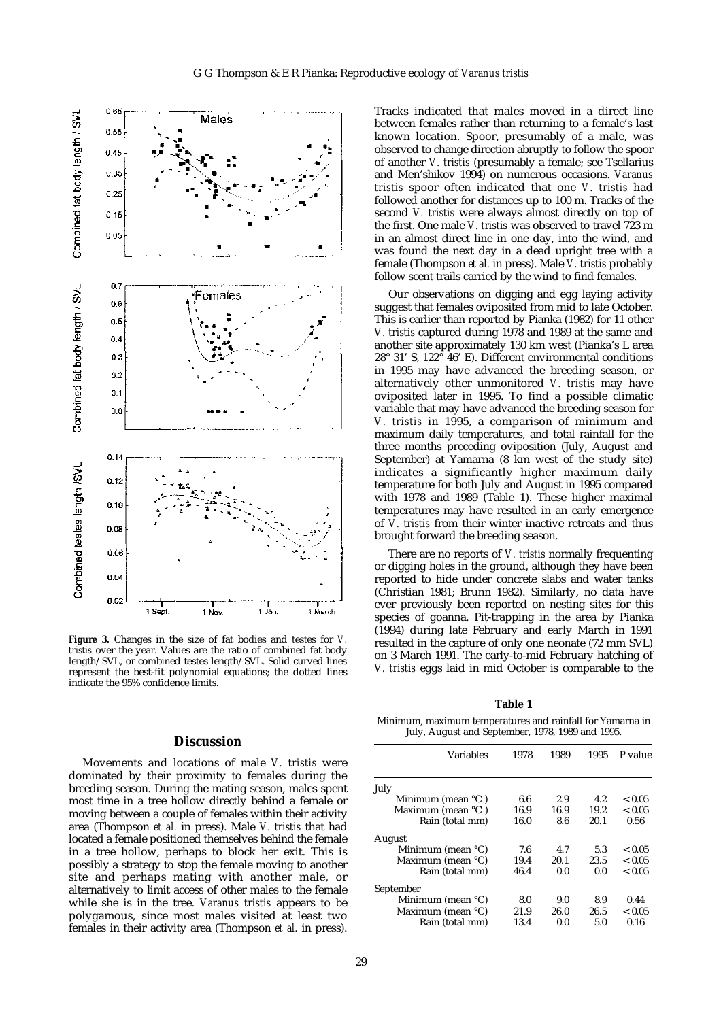

**Figure 3.** Changes in the size of fat bodies and testes for *V. tristis* over the year. Values are the ratio of combined fat body length/SVL, or combined testes length/SVL. Solid curved lines represent the best-fit polynomial equations; the dotted lines indicate the 95% confidence limits.

#### **Discussion**

Movements and locations of male *V. tristis* were dominated by their proximity to females during the breeding season. During the mating season, males spent most time in a tree hollow directly behind a female or moving between a couple of females within their activity area (Thompson *et al.* in press). Male *V. tristis* that had located a female positioned themselves behind the female in a tree hollow, perhaps to block her exit. This is possibly a strategy to stop the female moving to another site and perhaps mating with another male, or alternatively to limit access of other males to the female while she is in the tree. *Varanus tristis* appears to be polygamous, since most males visited at least two females in their activity area (Thompson *et al.* in press). Tracks indicated that males moved in a direct line between females rather than returning to a female's last known location. Spoor, presumably of a male, was observed to change direction abruptly to follow the spoor of another *V. tristis* (presumably a female; see Tsellarius and Men'shikov 1994) on numerous occasions. *Varanus tristis* spoor often indicated that one *V. tristis* had followed another for distances up to 100 m. Tracks of the second *V. tristis* were always almost directly on top of the first. One male *V. tristis* was observed to travel 723 m in an almost direct line in one day, into the wind, and was found the next day in a dead upright tree with a female (Thompson *et al.* in press). Male *V. tristis* probably follow scent trails carried by the wind to find females.

Our observations on digging and egg laying activity suggest that females oviposited from mid to late October. This is earlier than reported by Pianka (1982) for 11 other *V. tristis* captured during 1978 and 1989 at the same and another site approximately 130 km west (Pianka's L area 28° 31' S, 122° 46' E). Different environmental conditions in 1995 may have advanced the breeding season, or alternatively other unmonitored *V. tristis* may have oviposited later in 1995. To find a possible climatic variable that may have advanced the breeding season for *V. tristis* in 1995, a comparison of minimum and maximum daily temperatures, and total rainfall for the three months preceding oviposition (July, August and September) at Yamarna (8 km west of the study site) indicates a significantly higher maximum daily temperature for both July and August in 1995 compared with 1978 and 1989 (Table 1). These higher maximal temperatures may have resulted in an early emergence of *V. tristis* from their winter inactive retreats and thus brought forward the breeding season.

There are no reports of *V. tristis* normally frequenting or digging holes in the ground, although they have been reported to hide under concrete slabs and water tanks (Christian 1981; Brunn 1982). Similarly, no data have ever previously been reported on nesting sites for this species of goanna. Pit-trapping in the area by Pianka (1994) during late February and early March in 1991 resulted in the capture of only one neonate (72 mm SVL) on 3 March 1991. The early-to-mid February hatching of *V. tristis* eggs laid in mid October is comparable to the

**Table 1**

Minimum, maximum temperatures and rainfall for Yamarna in July, August and September, 1978, 1989 and 1995.

| <b>Variables</b>     | 1978 | 1989 | 1995 | P value    |
|----------------------|------|------|------|------------|
| July                 |      |      |      |            |
| Minimum (mean °C)    | 6.6  | 2.9  | 4.2  | ${}< 0.05$ |
| Maximum (mean °C)    | 16.9 | 16.9 | 19.2 | < 0.05     |
| Rain (total mm)      | 16.0 | 8.6  | 20.1 | 0.56       |
| August               |      |      |      |            |
| Minimum (mean $°C$ ) | 7.6  | 4.7  | 5.3  | ${}< 0.05$ |
| Maximum (mean °C)    | 19.4 | 20.1 | 23.5 | < 0.05     |
| Rain (total mm)      | 46.4 | 0.0  | 0.0  | < 0.05     |
| September            |      |      |      |            |
| Minimum (mean $°C$ ) | 8.0  | 9.0  | 8.9  | 0.44       |
| Maximum (mean °C)    | 21.9 | 26.0 | 26.5 | ${}< 0.05$ |
| Rain (total mm)      | 13.4 | 0.0  | 5.0  | 0.16       |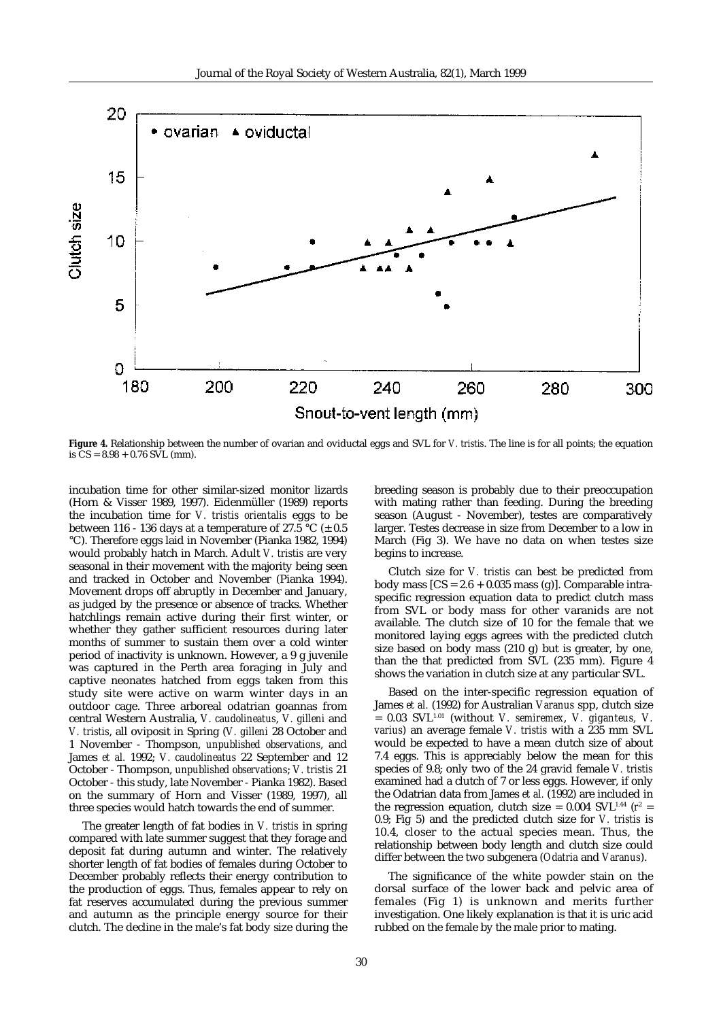

**Figure 4.** Relationship between the number of ovarian and oviductal eggs and SVL for *V. tristis*. The line is for all points; the equation is  $\text{CS} = 8.98 + 0.76 \text{ SVL (mm)}$ .

incubation time for other similar-sized monitor lizards (Horn & Visser 1989, 1997). Eidenmüller (1989) reports the incubation time for *V. tristis orientalis* eggs to be between 116 - 136 days at a temperature of 27.5 °C ( $\pm$  0.5 °C). Therefore eggs laid in November (Pianka 1982, 1994) would probably hatch in March. Adult *V. tristis* are very seasonal in their movement with the majority being seen and tracked in October and November (Pianka 1994). Movement drops off abruptly in December and January, as judged by the presence or absence of tracks. Whether hatchlings remain active during their first winter, or whether they gather sufficient resources during later months of summer to sustain them over a cold winter period of inactivity is unknown. However, a 9 g juvenile was captured in the Perth area foraging in July and captive neonates hatched from eggs taken from this study site were active on warm winter days in an outdoor cage. Three arboreal odatrian goannas from central Western Australia, *V. caudolineatus*, *V. gilleni* and *V. tristis*, all oviposit in Spring (*V. gilleni* 28 October and 1 November - Thompson, *unpublished observations*, and James *et al.* 1992; *V. caudolineatus* 22 September and 12 October - Thompson, *unpublished observations*; *V. tristis* 21 October - this study, late November - Pianka 1982). Based on the summary of Horn and Visser (1989, 1997), all three species would hatch towards the end of summer.

The greater length of fat bodies in *V. tristis* in spring compared with late summer suggest that they forage and deposit fat during autumn and winter. The relatively shorter length of fat bodies of females during October to December probably reflects their energy contribution to the production of eggs. Thus, females appear to rely on fat reserves accumulated during the previous summer and autumn as the principle energy source for their clutch. The decline in the male's fat body size during the breeding season is probably due to their preoccupation with mating rather than feeding. During the breeding season (August - November), testes are comparatively larger. Testes decrease in size from December to a low in March (Fig 3). We have no data on when testes size begins to increase.

Clutch size for *V. tristis* can best be predicted from body mass  $[CS = 2.6 + 0.035$  mass (g)]. Comparable intraspecific regression equation data to predict clutch mass from SVL or body mass for other varanids are not available. The clutch size of 10 for the female that we monitored laying eggs agrees with the predicted clutch size based on body mass (210 g) but is greater, by one, than the that predicted from SVL (235 mm). Figure 4 shows the variation in clutch size at any particular SVL.

Based on the inter-specific regression equation of James *et al.* (1992) for Australian *Varanus* spp, clutch size = 0.03 SVL1.01 (without *V. semiremex*, *V. giganteus, V. varius*) an average female *V. tristis* with a 235 mm SVL would be expected to have a mean clutch size of about 7.4 eggs. This is appreciably below the mean for this species of 9.8; only two of the 24 gravid female *V. tristis* examined had a clutch of 7 or less eggs. However, if only the Odatrian data from James *et al.* (1992) are included in the regression equation, clutch size =  $0.004\,$  SVL<sup>1.44</sup> ( $r^2$  = 0.9; Fig 5) and the predicted clutch size for *V. tristis* is 10.4, closer to the actual species mean. Thus, the relationship between body length and clutch size could differ between the two subgenera (*Odatria* and *Varanus*).

The significance of the white powder stain on the dorsal surface of the lower back and pelvic area of females (Fig 1) is unknown and merits further investigation. One likely explanation is that it is uric acid rubbed on the female by the male prior to mating.